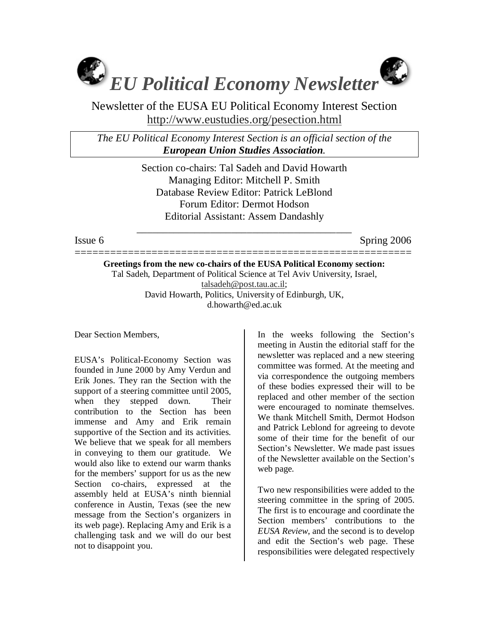

Newsletter of the EUSA EU Political Economy Interest Section http://www.eustudies.org/pesection.html

*The EU Political Economy Interest Section is an official section of the European Union Studies Association.* 

> Section co-chairs: Tal Sadeh and David Howarth Managing Editor: Mitchell P. Smith Database Review Editor: Patrick LeBlond Forum Editor: Dermot Hodson Editorial Assistant: Assem Dandashly

\_\_\_\_\_\_\_\_\_\_\_\_\_\_\_\_\_\_\_\_\_\_\_\_\_\_\_\_\_\_\_\_\_\_\_\_\_\_\_\_\_

Issue 6 Spring 2006

=========================================================

**Greetings from the new co-chairs of the EUSA Political Economy section:**  Tal Sadeh, Department of Political Science at Tel Aviv University, Israel, talsadeh@post.tau.ac.il; David Howarth, Politics, University of Edinburgh, UK, d.howarth@ed.ac.uk

Dear Section Members,

EUSA's Political-Economy Section was founded in June 2000 by Amy Verdun and Erik Jones. They ran the Section with the support of a steering committee until 2005, when they stepped down. Their contribution to the Section has been immense and Amy and Erik remain supportive of the Section and its activities. We believe that we speak for all members in conveying to them our gratitude. We would also like to extend our warm thanks for the members' support for us as the new Section co-chairs, expressed at the assembly held at EUSA's ninth biennial conference in Austin, Texas (see the new message from the Section's organizers in its web page). Replacing Amy and Erik is a challenging task and we will do our best not to disappoint you.

In the weeks following the Section's meeting in Austin the editorial staff for the newsletter was replaced and a new steering committee was formed. At the meeting and via correspondence the outgoing members of these bodies expressed their will to be replaced and other member of the section were encouraged to nominate themselves. We thank Mitchell Smith, Dermot Hodson and Patrick Leblond for agreeing to devote some of their time for the benefit of our Section's Newsletter. We made past issues of the Newsletter available on the Section's web page.

Two new responsibilities were added to the steering committee in the spring of 2005. The first is to encourage and coordinate the Section members' contributions to the *EUSA Review*, and the second is to develop and edit the Section's web page. These responsibilities were delegated respectively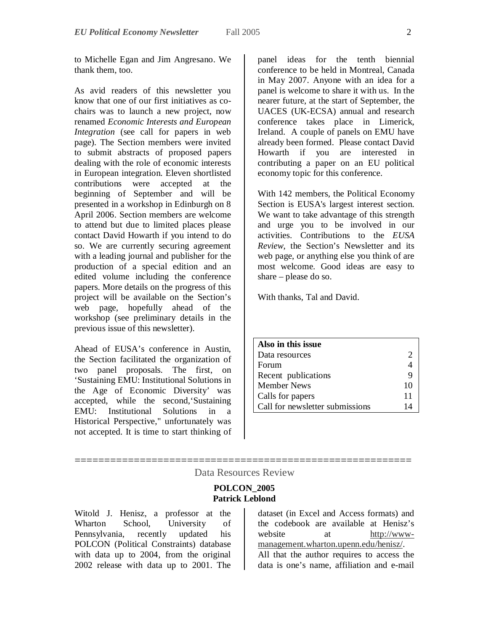to Michelle Egan and Jim Angresano. We thank them, too.

As avid readers of this newsletter you know that one of our first initiatives as cochairs was to launch a new project, now renamed *Economic Interests and European Integration* (see call for papers in web page). The Section members were invited to submit abstracts of proposed papers dealing with the role of economic interests in European integration. Eleven shortlisted contributions were accepted at the beginning of September and will be presented in a workshop in Edinburgh on 8 April 2006. Section members are welcome to attend but due to limited places please contact David Howarth if you intend to do so. We are currently securing agreement with a leading journal and publisher for the production of a special edition and an edited volume including the conference papers. More details on the progress of this project will be available on the Section's web page, hopefully ahead of the workshop (see preliminary details in the previous issue of this newsletter).

Ahead of EUSA's conference in Austin, the Section facilitated the organization of two panel proposals. The first, on 'Sustaining EMU: Institutional Solutions in the Age of Economic Diversity' was accepted, while the second,'Sustaining EMU: Institutional Solutions in a Historical Perspective," unfortunately was not accepted. It is time to start thinking of

panel ideas for the tenth biennial conference to be held in Montreal, Canada in May 2007. Anyone with an idea for a panel is welcome to share it with us. In the nearer future, at the start of September, the UACES (UK-ECSA) annual and research conference takes place in Limerick, Ireland. A couple of panels on EMU have already been formed. Please contact David Howarth if you are interested in contributing a paper on an EU political economy topic for this conference.

With 142 members, the Political Economy Section is EUSA's largest interest section. We want to take advantage of this strength and urge you to be involved in our activities. Contributions to the *EUSA Review*, the Section's Newsletter and its web page, or anything else you think of are most welcome. Good ideas are easy to share – please do so.

With thanks, Tal and David.

| Also in this issue              |    |
|---------------------------------|----|
| Data resources                  | ာ  |
| Forum                           |    |
| Recent publications             | 9  |
| <b>Member News</b>              | 10 |
| Calls for papers                | 11 |
| Call for newsletter submissions | 14 |

## ========================================================= Data Resources Review

## **POLCON\_2005 Patrick Leblond**

Witold J. Henisz, a professor at the Wharton School, University of Pennsylvania, recently updated his POLCON (Political Constraints) database with data up to 2004, from the original 2002 release with data up to 2001. The

dataset (in Excel and Access formats) and the codebook are available at Henisz's website at http://wwwmanagement.wharton.upenn.edu/henisz/. All that the author requires to access the data is one's name, affiliation and e-mail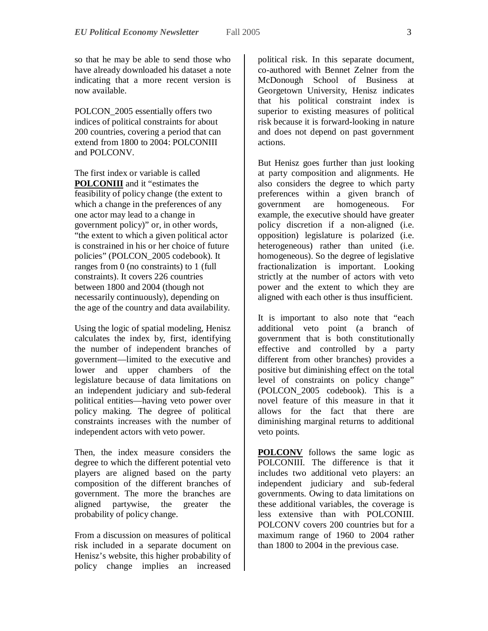so that he may be able to send those who have already downloaded his dataset a note indicating that a more recent version is now available.

POLCON\_2005 essentially offers two indices of political constraints for about 200 countries, covering a period that can extend from 1800 to 2004: POLCONIII and POLCONV

The first index or variable is called **POLCONIII** and it "estimates the feasibility of policy change (the extent to which a change in the preferences of any one actor may lead to a change in government policy)" or, in other words, "the extent to which a given political actor is constrained in his or her choice of future policies" (POLCON\_2005 codebook). It ranges from 0 (no constraints) to 1 (full constraints). It covers 226 countries between 1800 and 2004 (though not necessarily continuously), depending on the age of the country and data availability.

Using the logic of spatial modeling, Henisz calculates the index by, first, identifying the number of independent branches of government—limited to the executive and lower and upper chambers of the legislature because of data limitations on an independent judiciary and sub-federal political entities—having veto power over policy making. The degree of political constraints increases with the number of independent actors with veto power.

Then, the index measure considers the degree to which the different potential veto players are aligned based on the party composition of the different branches of government. The more the branches are aligned partywise, the greater the probability of policy change.

From a discussion on measures of political risk included in a separate document on Henisz's website, this higher probability of policy change implies an increased

political risk. In this separate document, co-authored with Bennet Zelner from the McDonough School of Business at Georgetown University, Henisz indicates that his political constraint index is superior to existing measures of political risk because it is forward-looking in nature and does not depend on past government actions.

But Henisz goes further than just looking at party composition and alignments. He also considers the degree to which party preferences within a given branch of government are homogeneous. For example, the executive should have greater policy discretion if a non-aligned (i.e. opposition) legislature is polarized (i.e. heterogeneous) rather than united (i.e. homogeneous). So the degree of legislative fractionalization is important. Looking strictly at the number of actors with veto power and the extent to which they are aligned with each other is thus insufficient.

It is important to also note that "each additional veto point (a branch of government that is both constitutionally effective and controlled by a party different from other branches) provides a positive but diminishing effect on the total level of constraints on policy change" (POLCON\_2005 codebook). This is a novel feature of this measure in that it allows for the fact that there are diminishing marginal returns to additional veto points.

**POLCONV** follows the same logic as POLCONIII. The difference is that it includes two additional veto players: an independent judiciary and sub-federal governments. Owing to data limitations on these additional variables, the coverage is less extensive than with POLCONIII. POLCONV covers 200 countries but for a maximum range of 1960 to 2004 rather than 1800 to 2004 in the previous case.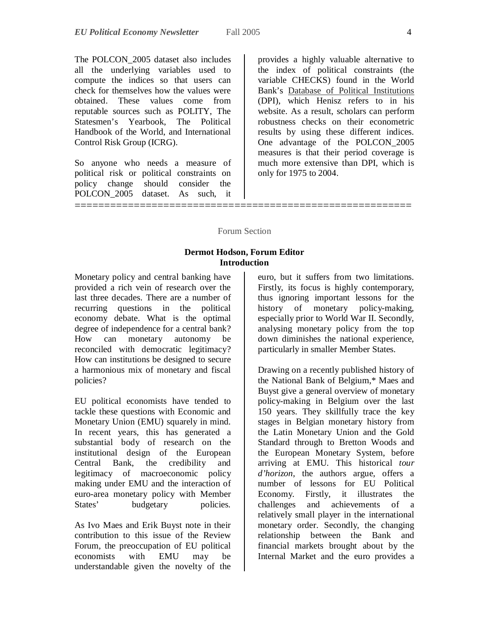The POLCON\_2005 dataset also includes all the underlying variables used to compute the indices so that users can check for themselves how the values were obtained. These values come from reputable sources such as POLITY, The Statesmen's Yearbook, The Political Handbook of the World, and International Control Risk Group (ICRG).

So anyone who needs a measure of political risk or political constraints on policy change should consider the POLCON\_2005 dataset. As such, it

==============================

provides a highly valuable alternative to the index of political constraints (the variable CHECKS) found in the World Bank's Database of Political Institutions (DPI), which Henisz refers to in his website. As a result, scholars can perform robustness checks on their econometric results by using these different indices. One advantage of the POLCON\_2005 measures is that their period coverage is much more extensive than DPI, which is only for 1975 to 2004.

#### Forum Section

## **Dermot Hodson, Forum Editor Introduction**

Monetary policy and central banking have provided a rich vein of research over the last three decades. There are a number of recurring questions in the political economy debate. What is the optimal degree of independence for a central bank? How can monetary autonomy be reconciled with democratic legitimacy? How can institutions be designed to secure a harmonious mix of monetary and fiscal policies?

EU political economists have tended to tackle these questions with Economic and Monetary Union (EMU) squarely in mind. In recent years, this has generated a substantial body of research on the institutional design of the European Central Bank, the credibility and legitimacy of macroeconomic policy making under EMU and the interaction of euro-area monetary policy with Member States' budgetary policies.

As Ivo Maes and Erik Buyst note in their contribution to this issue of the Review Forum, the preoccupation of EU political economists with EMU may be understandable given the novelty of the

euro, but it suffers from two limitations. Firstly, its focus is highly contemporary, thus ignoring important lessons for the history of monetary policy-making, especially prior to World War II. Secondly, analysing monetary policy from the top down diminishes the national experience, particularly in smaller Member States.

Drawing on a recently published history of the National Bank of Belgium,\* Maes and Buyst give a general overview of monetary policy-making in Belgium over the last 150 years. They skillfully trace the key stages in Belgian monetary history from the Latin Monetary Union and the Gold Standard through to Bretton Woods and the European Monetary System, before arriving at EMU. This historical *tour d'horizon*, the authors argue, offers a number of lessons for EU Political Economy. Firstly, it illustrates the challenges and achievements of a relatively small player in the international monetary order. Secondly, the changing relationship between the Bank and financial markets brought about by the Internal Market and the euro provides a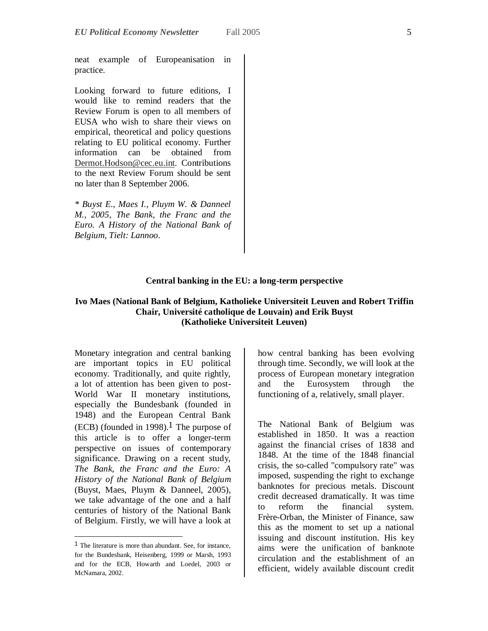neat example of Europeanisation in practice.

Looking forward to future editions, I would like to remind readers that the Review Forum is open to all members of EUSA who wish to share their views on empirical, theoretical and policy questions relating to EU political economy. Further information can be obtained from Dermot.Hodson@cec.eu.int. Contributions to the next Review Forum should be sent no later than 8 September 2006.

*\* Buyst E., Maes I., Pluym W. & Danneel M., 2005, The Bank, the Franc and the Euro. A History of the National Bank of Belgium, Tielt: Lannoo.*

#### **Central banking in the EU: a long-term perspective**

## **Ivo Maes (National Bank of Belgium, Katholieke Universiteit Leuven and Robert Triffin Chair, Université catholique de Louvain) and Erik Buyst (Katholieke Universiteit Leuven)**

Monetary integration and central banking are important topics in EU political economy. Traditionally, and quite rightly, a lot of attention has been given to post-World War II monetary institutions, especially the Bundesbank (founded in 1948) and the European Central Bank  $(ECB)$  (founded in 1998).<sup>1</sup> The purpose of this article is to offer a longer-term perspective on issues of contemporary significance. Drawing on a recent study, *The Bank, the Franc and the Euro: A History of the National Bank of Belgium* (Buyst, Maes, Pluym & Danneel, 2005), we take advantage of the one and a half centuries of history of the National Bank of Belgium. Firstly, we will have a look at

-

how central banking has been evolving through time. Secondly, we will look at the process of European monetary integration and the Eurosystem through the functioning of a, relatively, small player.

The National Bank of Belgium was established in 1850. It was a reaction against the financial crises of 1838 and 1848. At the time of the 1848 financial crisis, the so-called "compulsory rate" was imposed, suspending the right to exchange banknotes for precious metals. Discount credit decreased dramatically. It was time to reform the financial system. Frère-Orban, the Minister of Finance, saw this as the moment to set up a national issuing and discount institution. His key aims were the unification of banknote circulation and the establishment of an efficient, widely available discount credit

<sup>1</sup> The literature is more than abundant. See, for instance, for the Bundesbank, Heisenberg, 1999 or Marsh, 1993 and for the ECB, Howarth and Loedel, 2003 or McNamara, 2002.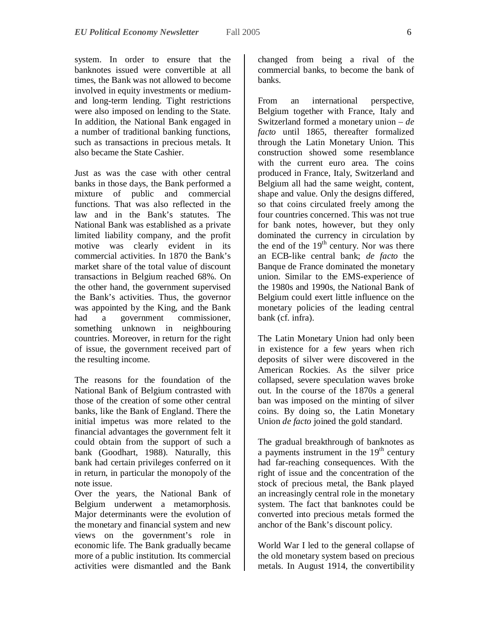system. In order to ensure that the banknotes issued were convertible at all times, the Bank was not allowed to become involved in equity investments or mediumand long-term lending. Tight restrictions were also imposed on lending to the State. In addition, the National Bank engaged in a number of traditional banking functions, such as transactions in precious metals. It also became the State Cashier.

Just as was the case with other central banks in those days, the Bank performed a mixture of public and commercial functions. That was also reflected in the law and in the Bank's statutes. The National Bank was established as a private limited liability company, and the profit motive was clearly evident in its commercial activities. In 1870 the Bank's market share of the total value of discount transactions in Belgium reached 68%. On the other hand, the government supervised the Bank's activities. Thus, the governor was appointed by the King, and the Bank had a government commissioner, something unknown in neighbouring countries. Moreover, in return for the right of issue, the government received part of the resulting income.

The reasons for the foundation of the National Bank of Belgium contrasted with those of the creation of some other central banks, like the Bank of England. There the initial impetus was more related to the financial advantages the government felt it could obtain from the support of such a bank (Goodhart, 1988). Naturally, this bank had certain privileges conferred on it in return, in particular the monopoly of the note issue.

Over the years, the National Bank of Belgium underwent a metamorphosis. Major determinants were the evolution of the monetary and financial system and new views on the government's role in economic life. The Bank gradually became more of a public institution. Its commercial activities were dismantled and the Bank

changed from being a rival of the commercial banks, to become the bank of banks.

From an international perspective, Belgium together with France, Italy and Switzerland formed a monetary union – *de facto* until 1865, thereafter formalized through the Latin Monetary Union. This construction showed some resemblance with the current euro area. The coins produced in France, Italy, Switzerland and Belgium all had the same weight, content, shape and value. Only the designs differed, so that coins circulated freely among the four countries concerned. This was not true for bank notes, however, but they only dominated the currency in circulation by the end of the  $19<sup>th</sup>$  century. Nor was there an ECB-like central bank; *de facto* the Banque de France dominated the monetary union. Similar to the EMS-experience of the 1980s and 1990s, the National Bank of Belgium could exert little influence on the monetary policies of the leading central bank (cf. infra).

The Latin Monetary Union had only been in existence for a few years when rich deposits of silver were discovered in the American Rockies. As the silver price collapsed, severe speculation waves broke out. In the course of the 1870s a general ban was imposed on the minting of silver coins. By doing so, the Latin Monetary Union *de facto* joined the gold standard.

The gradual breakthrough of banknotes as a payments instrument in the  $19<sup>th</sup>$  century had far-reaching consequences. With the right of issue and the concentration of the stock of precious metal, the Bank played an increasingly central role in the monetary system. The fact that banknotes could be converted into precious metals formed the anchor of the Bank's discount policy.

World War I led to the general collapse of the old monetary system based on precious metals. In August 1914, the convertibility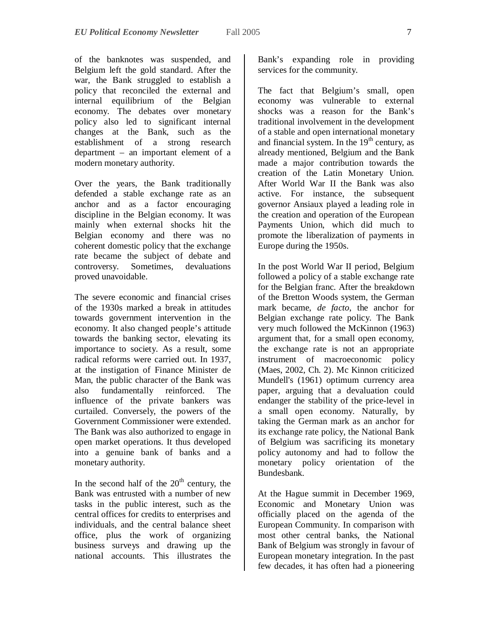of the banknotes was suspended, and Belgium left the gold standard. After the war, the Bank struggled to establish a policy that reconciled the external and internal equilibrium of the Belgian economy. The debates over monetary policy also led to significant internal changes at the Bank, such as the establishment of a strong research department – an important element of a modern monetary authority.

Over the years, the Bank traditionally defended a stable exchange rate as an anchor and as a factor encouraging discipline in the Belgian economy. It was mainly when external shocks hit the Belgian economy and there was no coherent domestic policy that the exchange rate became the subject of debate and controversy. Sometimes, devaluations proved unavoidable.

The severe economic and financial crises of the 1930s marked a break in attitudes towards government intervention in the economy. It also changed people's attitude towards the banking sector, elevating its importance to society. As a result, some radical reforms were carried out. In 1937, at the instigation of Finance Minister de Man, the public character of the Bank was also fundamentally reinforced. The influence of the private bankers was curtailed. Conversely, the powers of the Government Commissioner were extended. The Bank was also authorized to engage in open market operations. It thus developed into a genuine bank of banks and a monetary authority.

In the second half of the  $20<sup>th</sup>$  century, the Bank was entrusted with a number of new tasks in the public interest, such as the central offices for credits to enterprises and individuals, and the central balance sheet office, plus the work of organizing business surveys and drawing up the national accounts. This illustrates the

Bank's expanding role in providing services for the community.

The fact that Belgium's small, open economy was vulnerable to external shocks was a reason for the Bank's traditional involvement in the development of a stable and open international monetary and financial system. In the  $19<sup>th</sup>$  century, as already mentioned, Belgium and the Bank made a major contribution towards the creation of the Latin Monetary Union. After World War II the Bank was also active. For instance, the subsequent governor Ansiaux played a leading role in the creation and operation of the European Payments Union, which did much to promote the liberalization of payments in Europe during the 1950s.

In the post World War II period, Belgium followed a policy of a stable exchange rate for the Belgian franc. After the breakdown of the Bretton Woods system, the German mark became, *de facto*, the anchor for Belgian exchange rate policy. The Bank very much followed the McKinnon (1963) argument that, for a small open economy, the exchange rate is not an appropriate instrument of macroeconomic policy (Maes, 2002, Ch. 2). Mc Kinnon criticized Mundell's (1961) optimum currency area paper, arguing that a devaluation could endanger the stability of the price-level in a small open economy. Naturally, by taking the German mark as an anchor for its exchange rate policy, the National Bank of Belgium was sacrificing its monetary policy autonomy and had to follow the monetary policy orientation of the Bundesbank.

At the Hague summit in December 1969, Economic and Monetary Union was officially placed on the agenda of the European Community. In comparison with most other central banks, the National Bank of Belgium was strongly in favour of European monetary integration. In the past few decades, it has often had a pioneering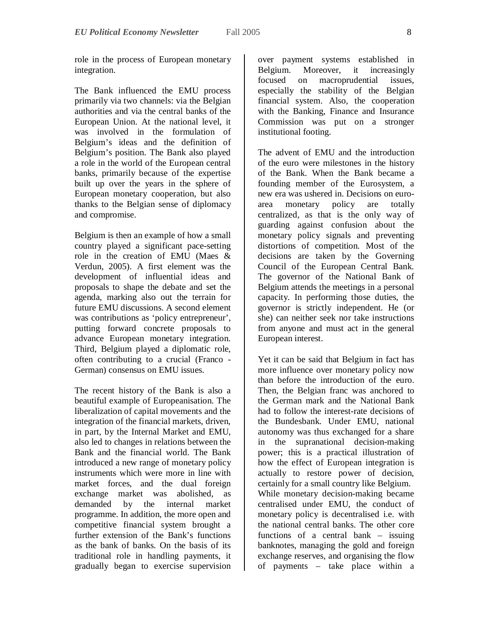role in the process of European monetary integration.

The Bank influenced the EMU process primarily via two channels: via the Belgian authorities and via the central banks of the European Union. At the national level, it was involved in the formulation of Belgium's ideas and the definition of Belgium's position. The Bank also played a role in the world of the European central banks, primarily because of the expertise built up over the years in the sphere of European monetary cooperation, but also thanks to the Belgian sense of diplomacy and compromise.

Belgium is then an example of how a small country played a significant pace-setting role in the creation of EMU (Maes & Verdun, 2005). A first element was the development of influential ideas and proposals to shape the debate and set the agenda, marking also out the terrain for future EMU discussions. A second element was contributions as 'policy entrepreneur', putting forward concrete proposals to advance European monetary integration. Third, Belgium played a diplomatic role, often contributing to a crucial (Franco - German) consensus on EMU issues.

The recent history of the Bank is also a beautiful example of Europeanisation. The liberalization of capital movements and the integration of the financial markets, driven, in part, by the Internal Market and EMU, also led to changes in relations between the Bank and the financial world. The Bank introduced a new range of monetary policy instruments which were more in line with market forces, and the dual foreign exchange market was abolished, as demanded by the internal market programme. In addition, the more open and competitive financial system brought a further extension of the Bank's functions as the bank of banks. On the basis of its traditional role in handling payments, it gradually began to exercise supervision

over payment systems established in Belgium. Moreover, it increasingly focused on macroprudential issues, especially the stability of the Belgian financial system. Also, the cooperation with the Banking, Finance and Insurance Commission was put on a stronger institutional footing.

The advent of EMU and the introduction of the euro were milestones in the history of the Bank. When the Bank became a founding member of the Eurosystem, a new era was ushered in. Decisions on euroarea monetary policy are totally centralized, as that is the only way of guarding against confusion about the monetary policy signals and preventing distortions of competition. Most of the decisions are taken by the Governing Council of the European Central Bank. The governor of the National Bank of Belgium attends the meetings in a personal capacity. In performing those duties, the governor is strictly independent. He (or she) can neither seek nor take instructions from anyone and must act in the general European interest.

Yet it can be said that Belgium in fact has more influence over monetary policy now than before the introduction of the euro. Then, the Belgian franc was anchored to the German mark and the National Bank had to follow the interest-rate decisions of the Bundesbank. Under EMU, national autonomy was thus exchanged for a share in the supranational decision-making power; this is a practical illustration of how the effect of European integration is actually to restore power of decision, certainly for a small country like Belgium. While monetary decision-making became centralised under EMU, the conduct of monetary policy is decentralised i.e. with the national central banks. The other core functions of a central bank – issuing banknotes, managing the gold and foreign exchange reserves, and organising the flow of payments – take place within a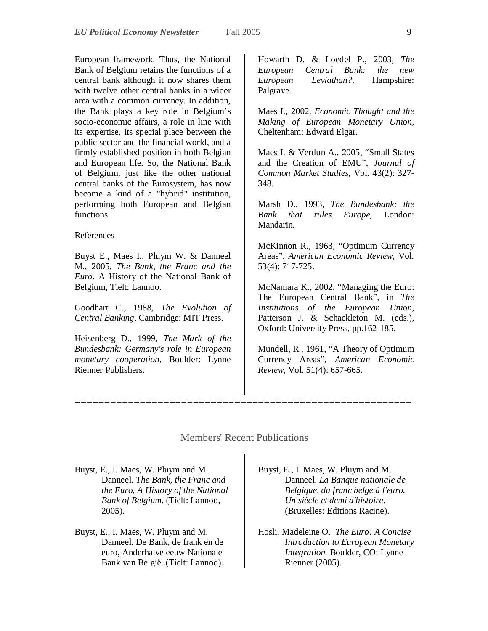European framework. Thus, the National Bank of Belgium retains the functions of a central bank although it now shares them with twelve other central banks in a wider area with a common currency. In addition, the Bank plays a key role in Belgium's socio-economic affairs, a role in line with its expertise, its special place between the public sector and the financial world, and a firmly established position in both Belgian and European life. So, the National Bank of Belgium, just like the other national central banks of the Eurosystem, has now become a kind of a "hybrid" institution, performing both European and Belgian functions.

#### References

Buyst E., Maes I., Pluym W. & Danneel M., 2005, *The Bank, the Franc and the Euro*. A History of the National Bank of Belgium, Tielt: Lannoo.

Goodhart C., 1988, *The Evolution of Central Banking*, Cambridge: MIT Press.

Heisenberg D., 1999, *The Mark of the Bundesbank: Germany's role in European monetary cooperation*, Boulder: Lynne Rienner Publishers.

Howarth D. & Loedel P., 2003*, The European Central Bank: the new European Leviathan?*, Hampshire: Palgrave.

Maes I., 2002, *Economic Thought and the Making of European Monetary Union*, Cheltenham: Edward Elgar.

Maes I. & Verdun A., 2005, "Small States and the Creation of EMU", *Journal of Common Market Studies*, Vol. 43(2): 327- 348.

Marsh D., 1993, *The Bundesbank: the Bank that rules Europe*, London: Mandarin.

McKinnon R., 1963, "Optimum Currency Areas", *American Economic Review*, Vol. 53(4): 717-725.

McNamara K., 2002, "Managing the Euro: The European Central Bank", in *The Institutions of the European Union*, Patterson J. & Schackleton M. (eds.), Oxford: University Press, pp.162-185.

Mundell, R., 1961, "A Theory of Optimum Currency Areas", *American Economic Review*, Vol. 51(4): 657-665.

## Members' Recent Publications

=========================================================

Buyst, E., I. Maes, W. Pluym and M. Danneel. *The Bank, the Franc and the Euro, A History of the National Bank of Belgium*. (Tielt: Lannoo, 2005).

Buyst, E., I. Maes, W. Pluym and M. Danneel. De Bank, de frank en de euro, Anderhalve eeuw Nationale Bank van België. (Tielt: Lannoo).

Buyst, E., I. Maes, W. Pluym and M. Danneel. *La Banque nationale de Belgique, du franc belge à l'euro. Un siècle et demi d'histoire*. (Bruxelles: Editions Racine).

Hosli, Madeleine O. *The Euro: A Concise Introduction to European Monetary Integration.* Boulder, CO: Lynne Rienner (2005).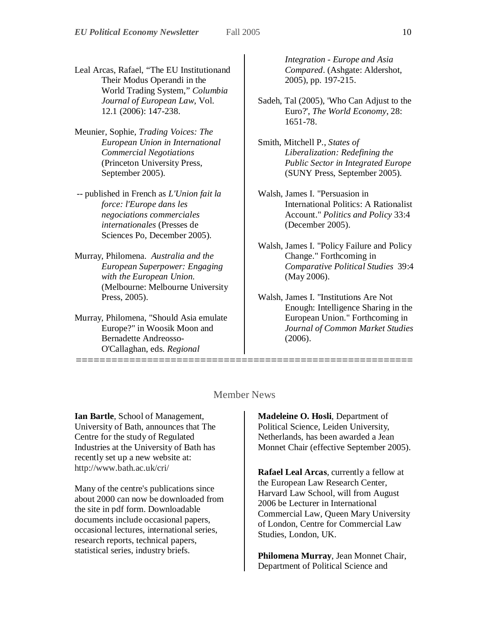- Leal Arcas, Rafael, "The EU Institutionand Their Modus Operandi in the World Trading System," *Columbia Journal of European Law*, Vol. 12.1 (2006): 147-238.
- Meunier, Sophie, *Trading Voices: The European Union in International Commercial Negotiations* (Princeton University Press, September 2005).
- -- published in French as *L'Union fait la force: l'Europe dans les negociations commerciales internationales* (Presses de Sciences Po, December 2005).
- Murray, Philomena. *Australia and the European Superpower: Engaging with the European Union*. (Melbourne: Melbourne University Press, 2005).
- Murray, Philomena, "Should Asia emulate Europe?" in Woosik Moon and Bernadette Andreosso-O'Callaghan, eds. *Regional*

*Integration - Europe and Asia Compared*. (Ashgate: Aldershot, 2005), pp. 197-215.

- Sadeh, Tal (2005), 'Who Can Adjust to the Euro?', *The World Economy*, 28: 1651-78.
- Smith, Mitchell P., *States of Liberalization: Redefining the Public Sector in Integrated Europe* (SUNY Press, September 2005).
- Walsh, James I. "Persuasion in International Politics: A Rationalist Account." *Politics and Policy* 33:4 (December 2005).
- Walsh, James I. "Policy Failure and Policy Change." Forthcoming in *Comparative Political Studies* 39:4 (May 2006).
- Walsh, James I. "Institutions Are Not Enough: Intelligence Sharing in the European Union." Forthcoming in *Journal of Common Market Studies* (2006).

## Member News

=========================================================

**Ian Bartle**, School of Management, University of Bath, announces that The Centre for the study of Regulated Industries at the University of Bath has recently set up a new website at: http://www.bath.ac.uk/cri/

Many of the centre's publications since about 2000 can now be downloaded from the site in pdf form. Downloadable documents include occasional papers, occasional lectures, international series, research reports, technical papers, statistical series, industry briefs.

**Madeleine O. Hosli**, Department of Political Science, Leiden University, Netherlands, has been awarded a Jean Monnet Chair (effective September 2005).

**Rafael Leal Arcas**, currently a fellow at the European Law Research Center, Harvard Law School, will from August 2006 be Lecturer in International Commercial Law, Queen Mary University of London, Centre for Commercial Law Studies, London, UK.

**Philomena Murray**, Jean Monnet Chair, Department of Political Science and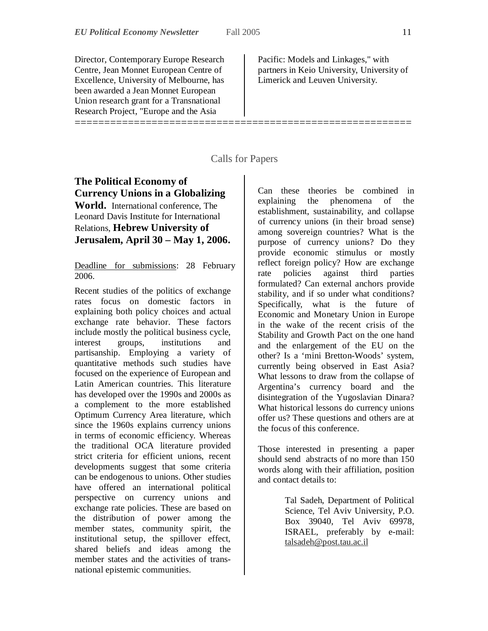Director, Contemporary Europe Research Centre, Jean Monnet European Centre of Excellence, University of Melbourne, has been awarded a Jean Monnet European Union research grant for a Transnational Research Project, "Europe and the Asia

Pacific: Models and Linkages," with partners in Keio University, University of Limerick and Leuven University.

## Calls for Papers

=========================================================

# **The Political Economy of Currency Unions in a Globalizing**

**World.** International conference, The Leonard Davis Institute for International Relations, **Hebrew University of Jerusalem, April 30 – May 1, 2006.** 

Deadline for submissions: 28 February 2006.

Recent studies of the politics of exchange rates focus on domestic factors in explaining both policy choices and actual exchange rate behavior. These factors include mostly the political business cycle, interest groups, institutions and partisanship. Employing a variety of quantitative methods such studies have focused on the experience of European and Latin American countries. This literature has developed over the 1990s and 2000s as a complement to the more established Optimum Currency Area literature, which since the 1960s explains currency unions in terms of economic efficiency. Whereas the traditional OCA literature provided strict criteria for efficient unions, recent developments suggest that some criteria can be endogenous to unions. Other studies have offered an international political perspective on currency unions and exchange rate policies. These are based on the distribution of power among the member states, community spirit, the institutional setup, the spillover effect, shared beliefs and ideas among the member states and the activities of transnational epistemic communities.

Can these theories be combined in explaining the phenomena of the establishment, sustainability, and collapse of currency unions (in their broad sense) among sovereign countries? What is the purpose of currency unions? Do they provide economic stimulus or mostly reflect foreign policy? How are exchange rate policies against third parties formulated? Can external anchors provide stability, and if so under what conditions? Specifically, what is the future of Economic and Monetary Union in Europe in the wake of the recent crisis of the Stability and Growth Pact on the one hand and the enlargement of the EU on the other? Is a 'mini Bretton-Woods' system, currently being observed in East Asia? What lessons to draw from the collapse of Argentina's currency board and the disintegration of the Yugoslavian Dinara? What historical lessons do currency unions offer us? These questions and others are at the focus of this conference.

Those interested in presenting a paper should send abstracts of no more than 150 words along with their affiliation, position and contact details to:

> Tal Sadeh, Department of Political Science, Tel Aviv University, P.O. Box 39040, Tel Aviv 69978, ISRAEL, preferably by e-mail: talsadeh@post.tau.ac.il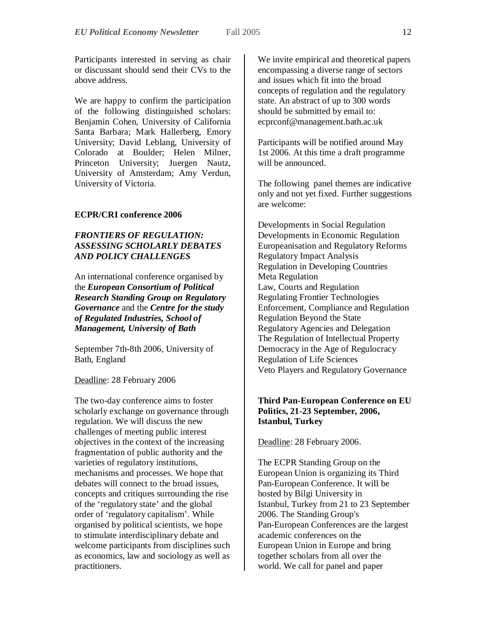Participants interested in serving as chair or discussant should send their CVs to the above address.

We are happy to confirm the participation of the following distinguished scholars: Benjamin Cohen, University of California Santa Barbara; Mark Hallerberg, Emory University; David Leblang, University of Colorado at Boulder; Helen Milner, Princeton University; Juergen Nautz, University of Amsterdam; Amy Verdun, University of Victoria.

## **ECPR/CRI conference 2006**

## *FRONTIERS OF REGULATION: ASSESSING SCHOLARLY DEBATES AND POLICY CHALLENGES*

An international conference organised by the *European Consortium of Political Research Standing Group on Regulatory Governance* and the *Centre for the study of Regulated Industries, School of Management, University of Bath* 

September 7th-8th 2006, University of Bath, England

Deadline: 28 February 2006

The two-day conference aims to foster scholarly exchange on governance through regulation. We will discuss the new challenges of meeting public interest objectives in the context of the increasing fragmentation of public authority and the varieties of regulatory institutions, mechanisms and processes. We hope that debates will connect to the broad issues, concepts and critiques surrounding the rise of the 'regulatory state' and the global order of 'regulatory capitalism'. While organised by political scientists, we hope to stimulate interdisciplinary debate and welcome participants from disciplines such as economics, law and sociology as well as practitioners.

We invite empirical and theoretical papers encompassing a diverse range of sectors and issues which fit into the broad concepts of regulation and the regulatory state. An abstract of up to 300 words should be submitted by email to: ecprconf@management.bath.ac.uk

Participants will be notified around May 1st 2006. At this time a draft programme will be announced.

The following panel themes are indicative only and not yet fixed. Further suggestions are welcome:

Developments in Social Regulation Developments in Economic Regulation Europeanisation and Regulatory Reforms Regulatory Impact Analysis Regulation in Developing Countries Meta Regulation Law, Courts and Regulation Regulating Frontier Technologies Enforcement, Compliance and Regulation Regulation Beyond the State Regulatory Agencies and Delegation The Regulation of Intellectual Property Democracy in the Age of Regulocracy Regulation of Life Sciences Veto Players and Regulatory Governance

## **Third Pan-European Conference on EU Politics, 21-23 September, 2006, Istanbul, Turkey**

Deadline: 28 February 2006.

The ECPR Standing Group on the European Union is organizing its Third Pan-European Conference. It will be hosted by Bilgi University in Istanbul, Turkey from 21 to 23 September 2006. The Standing Group's Pan-European Conferences are the largest academic conferences on the European Union in Europe and bring together scholars from all over the world. We call for panel and paper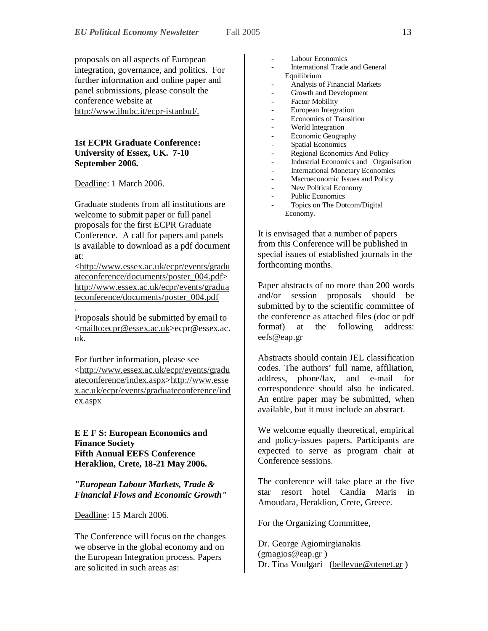proposals on all aspects of European integration, governance, and politics. For further information and online paper and panel submissions, please consult the conference website at http://www.jhubc.it/ecpr-istanbul/.

### **1st ECPR Graduate Conference: University of Essex, UK. 7-10 September 2006.**

Deadline: 1 March 2006.

Graduate students from all institutions are welcome to submit paper or full panel proposals for the first ECPR Graduate Conference. A call for papers and panels is available to download as a pdf document at:

<http://www.essex.ac.uk/ecpr/events/gradu ateconference/documents/poster\_004.pdf> http://www.essex.ac.uk/ecpr/events/gradua teconference/documents/poster\_004.pdf

. Proposals should be submitted by email to <mailto:ecpr@essex.ac.uk>ecpr@essex.ac. uk.

For further information, please see <http://www.essex.ac.uk/ecpr/events/gradu ateconference/index.aspx>http://www.esse x.ac.uk/ecpr/events/graduateconference/ind ex.aspx

**E E F S: European Economics and Finance Society Fifth Annual EEFS Conference Heraklion, Crete, 18-21 May 2006.**

*"European Labour Markets, Trade & Financial Flows and Economic Growth"* 

Deadline: 15 March 2006.

The Conference will focus on the changes we observe in the global economy and on the European Integration process. Papers are solicited in such areas as:

- Labour Economics
- International Trade and General Equilibrium
- Analysis of Financial Markets
- Growth and Development
- Factor Mobility
- European Integration
- Economics of Transition
- World Integration
- Economic Geography
- Spatial Economics
- Regional Economics And Policy
- Industrial Economics and Organisation
- **International Monetary Economics**
- Macroeconomic Issues and Policy
- New Political Economy
- Public Economics
- Topics on The Dotcom/Digital Economy.

It is envisaged that a number of papers from this Conference will be published in special issues of established journals in the forthcoming months.

Paper abstracts of no more than 200 words and/or session proposals should be submitted by to the scientific committee of the conference as attached files (doc or pdf format) at the following address: eefs@eap.gr

Abstracts should contain JEL classification codes. The authors' full name, affiliation, address, phone/fax, and e-mail for correspondence should also be indicated. An entire paper may be submitted, when available, but it must include an abstract.

We welcome equally theoretical, empirical and policy-issues papers. Participants are expected to serve as program chair at Conference sessions.

The conference will take place at the five star resort hotel Candia Maris in Amoudara, Heraklion, Crete, Greece.

For the Organizing Committee,

Dr. George Agiomirgianakis (gmagios@eap.gr ) Dr. Tina Voulgari (bellevue@otenet.gr)